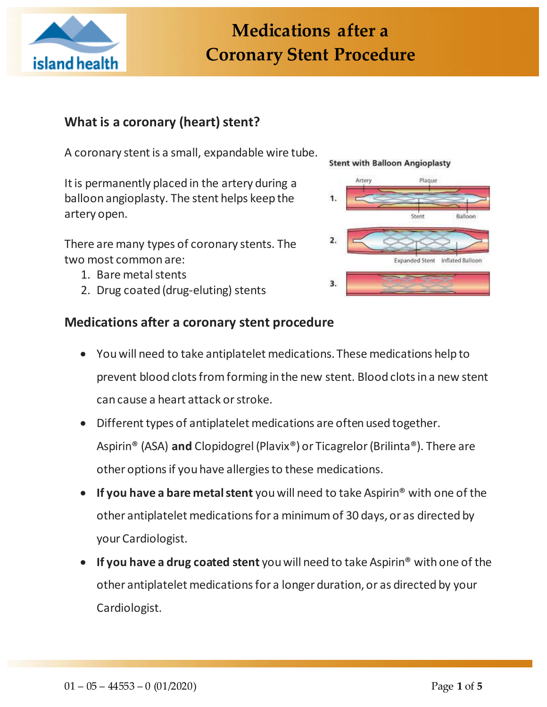

# **Medications after a Coronary Stent Procedure**

# **What is a coronary (heart) stent?**

A coronary stent is a small, expandable wire tube.

It is permanently placed in the artery during a balloon angioplasty. The stent helps keep the artery open.

There are many types of coronary stents. The two most common are:

- 1. Bare metal stents
- 2. Drug coated (drug-eluting) stents

## **Medications after a coronary stent procedure**

# You will need to take antiplatelet medications. These medications help to prevent blood clots from forming in the new stent. Blood clots in a new stent can cause a heart attack or stroke.

- Different types of antiplatelet medications are often used together. Aspirin® (ASA) **and** Clopidogrel (Plavix®) or Ticagrelor (Brilinta®). There are other options if you have allergies to these medications.
- **If you have a bare metal stent** you will need to take Aspirin® with one of the other antiplatelet medications for a minimum of 30 days, or as directed by your Cardiologist.
- **If you have a drug coated stent** you will need to take Aspirin® with one of the other antiplatelet medications for a longer duration, or as directed by your Cardiologist.

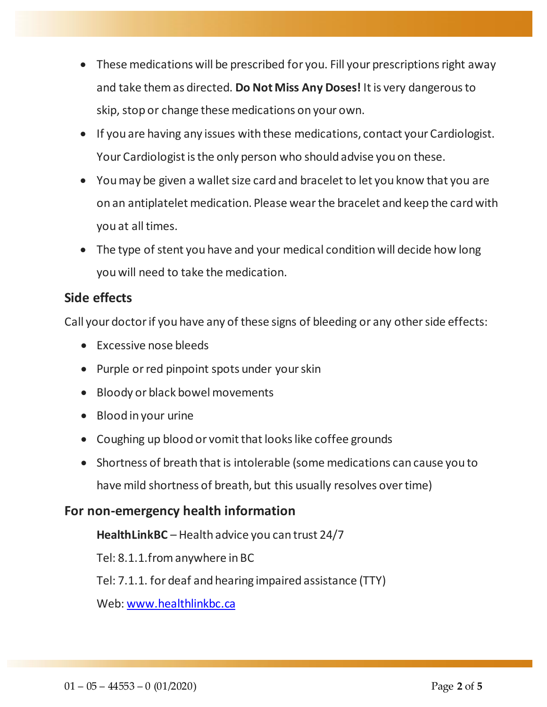- These medications will be prescribed for you. Fill your prescriptions right away and take them as directed. **Do Not Miss Any Doses!** It is very dangerous to skip, stop or change these medications on your own.
- If you are having any issues with these medications, contact your Cardiologist. Your Cardiologist is the only person who should advise you on these.
- You may be given a wallet size card and bracelet to let you know that you are on an antiplatelet medication. Please wear the bracelet and keep the card with you at all times.
- The type of stent you have and your medical condition will decide how long you will need to take the medication.

# **Side effects**

Call your doctor if you have any of these signs of bleeding or any other side effects:

- Excessive nose bleeds
- Purple or red pinpoint spots under your skin
- Bloody or black bowel movements
- Blood in your urine
- Coughing up blood or vomit that looks like coffee grounds
- Shortness of breath that is intolerable (some medications can cause you to have mild shortness of breath, but this usually resolves over time)

# **For non-emergency health information**

**HealthLinkBC** – Health advice you can trust 24/7

Tel: 8.1.1.from anywhere in BC

Tel: 7.1.1. for deaf and hearing impaired assistance (TTY)

Web[: www.healthlinkbc.ca](http://www.healthlinkbc.ca/)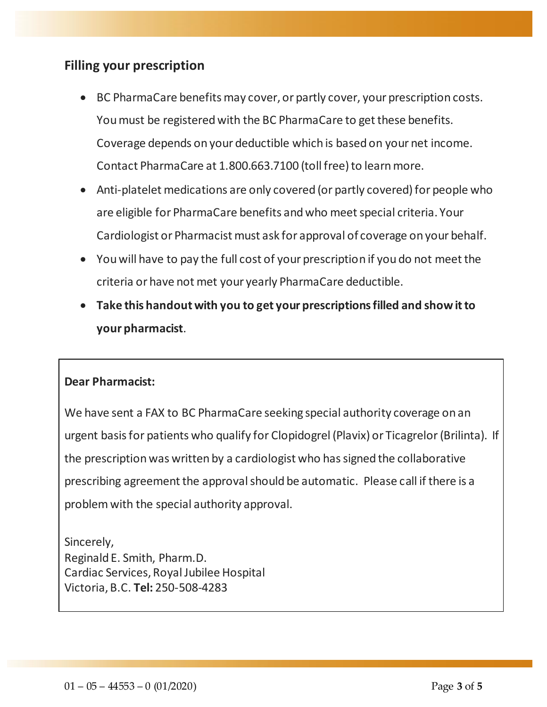# **Filling your prescription**

- BC PharmaCare benefits may cover, or partly cover, your prescription costs. You must be registered with the BC PharmaCare to get these benefits. Coverage depends on your deductible which is based on your net income. Contact PharmaCare at 1.800.663.7100 (toll free) to learn more.
- Anti-platelet medications are only covered (or partly covered) for people who are eligible for PharmaCare benefits and who meet special criteria. Your Cardiologist or Pharmacist must ask for approval of coverage on your behalf.
- You will have to pay the full cost of your prescription if you do not meet the criteria or have not met your yearly PharmaCare deductible.
- **Take this handout with you to get your prescriptions filled and show it to your pharmacist**.

### **Dear Pharmacist:**

We have sent a FAX to BC PharmaCare seeking special authority coverage on an urgent basis for patients who qualify for Clopidogrel (Plavix) or Ticagrelor(Brilinta). If the prescription was written by a cardiologist who has signed the collaborative prescribing agreement the approval should be automatic. Please call if there is a problem with the special authority approval.

Sincerely, Reginald E. Smith, Pharm.D. Cardiac Services, Royal Jubilee Hospital Victoria, B.C. **Tel:** 250-508-4283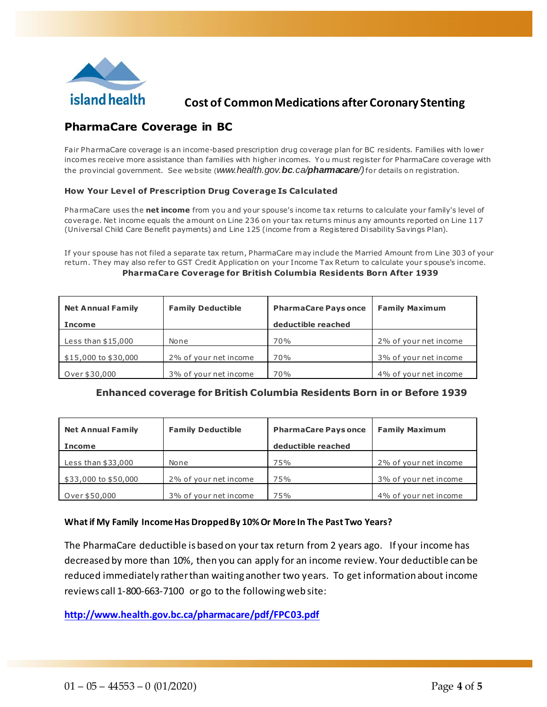

## **Cost of Common Medications after Coronary Stenting**

### **PharmaCare Coverage in BC**

Fair PharmaCare coverage is an income-based prescription drug coverage plan for BC residents. Families with lower incom es receive more assistance than families with higher incomes. Yo u must register for PharmaCare coverage with the provincial government. See website (*www.health.gov.bc.ca/pharmacare/)*for details on registration.

#### **How Your Level of Prescription Drug Coverage Is Calculated**

PharmaCare uses the **net income** from you and your spouse's income tax returns to calculate your family's level of coverage. Net income equals the amount on Line 236 on your tax returns minus any amounts reported on Line 117 (Universal Child Care Benefit payments) and Line 125 (income from a Registered Disability Savings Plan).

If your spouse has not filed a separate tax return, PharmaCare may include the Married Amount from Line 303 of your re turn. They may also re fer to GST Credit Application on your Income Tax Return to calculate your spouse's income. **PharmaCare Coverage for British Columbia Residents Born After 1939**

| <b>Net Annual Family</b> | <b>Family Deductible</b> | <b>PharmaCare Pays once</b> | <b>Family Maximum</b> |
|--------------------------|--------------------------|-----------------------------|-----------------------|
| <b>Income</b>            |                          | deductible reached          |                       |
| Less than $$15,000$      | None                     | 70%                         | 2% of your net income |
| \$15,000 to \$30,000     | 2% of your net income    | 70%                         | 3% of your net income |
| Over \$30,000            | 3% of your net income    | 70%                         | 4% of your net income |

#### **Enhanced coverage for British Columbia Residents Born in or Before 1939**

| <b>Net Annual Family</b><br><b>Income</b> | <b>Family Deductible</b> | <b>PharmaCare Pays once</b><br>deductible reached | <b>Family Maximum</b> |
|-------------------------------------------|--------------------------|---------------------------------------------------|-----------------------|
| Less than $$33,000$                       | None                     | 75%                                               | 2% of your net income |
| \$33,000 to \$50,000                      | 2% of your net income    | 75%                                               | 3% of your net income |
| Over \$50,000                             | 3% of your net income    | 75%                                               | 4% of your net income |

#### **What if My Family Income Has Dropped By 10% Or More In The Past Two Years?**

The PharmaCare deductible is based on your tax return from 2 years ago. If your income has decreased by more than 10%, then you can apply for an income review. Your deductible can be reduced immediately rather than waiting another two years. To get information about income reviews call 1-800-663-7100 or go to the following web site:

**<http://www.health.gov.bc.ca/pharmacare/pdf/FPC03.pdf>**